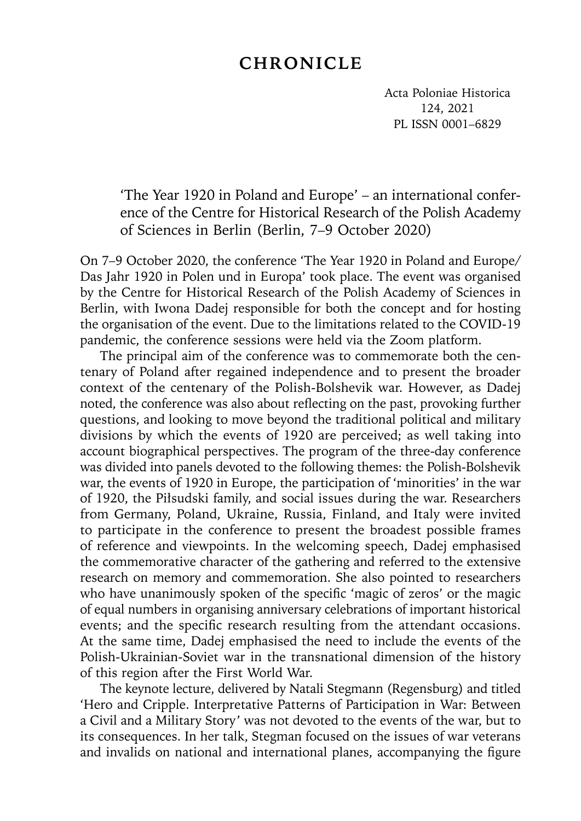## **CHRONICLE**

Acta Poloniae Historica 124, 2021 PL ISSN 0001–6829

'The Year 1920 in Poland and Europe' – an international conference of the Centre for Historical Research of the Polish Academy of Sciences in Berlin (Berlin, 7–9 October 2020)

On 7–9 October 2020, the conference 'The Year 1920 in Poland and Europe/ Das Jahr 1920 in Polen und in Europa' took place. The event was organised by the Centre for Historical Research of the Polish Academy of Sciences in Berlin, with Iwona Dadej responsible for both the concept and for hosting the organisation of the event. Due to the limitations related to the COVID-19 pandemic, the conference sessions were held via the Zoom platform.

The principal aim of the conference was to commemorate both the centenary of Poland after regained independence and to present the broader context of the centenary of the Polish-Bolshevik war. However, as Dadej noted, the conference was also about reflecting on the past, provoking further questions, and looking to move beyond the traditional political and military divisions by which the events of 1920 are perceived; as well taking into account biographical perspectives. The program of the three-day conference was divided into panels devoted to the following themes: the Polish-Bolshevik war, the events of 1920 in Europe, the participation of 'minorities' in the war of 1920, the Piłsudski family, and social issues during the war. Researchers from Germany, Poland, Ukraine, Russia, Finland, and Italy were invited to participate in the conference to present the broadest possible frames of reference and viewpoints. In the welcoming speech, Dadej emphasised the commemorative character of the gathering and referred to the extensive research on memory and commemoration. She also pointed to researchers who have unanimously spoken of the specific 'magic of zeros' or the magic of equal numbers in organising anniversary celebrations of important historical events; and the specific research resulting from the attendant occasions. At the same time, Dadej emphasised the need to include the events of the Polish-Ukrainian-Soviet war in the transnational dimension of the history of this region after the First World War.

The keynote lecture, delivered by Natali Stegmann (Regensburg) and titled 'Hero and Cripple. Interpretative Patterns of Participation in War: Between a Civil and a Military Story' was not devoted to the events of the war, but to its consequences. In her talk, Stegman focused on the issues of war veterans and invalids on national and international planes, accompanying the figure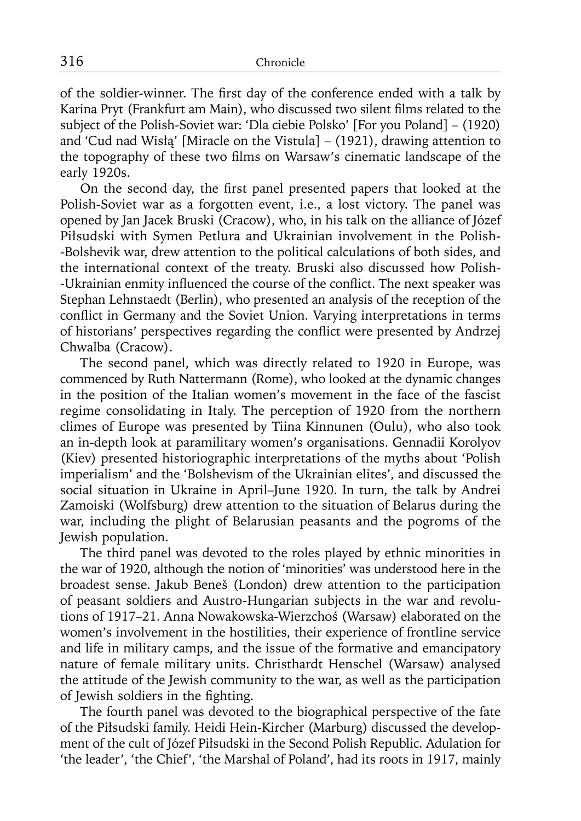of the soldier-winner. The first day of the conference ended with a talk by Karina Pryt (Frankfurt am Main), who discussed two silent films related to the subject of the Polish-Soviet war: 'Dla ciebie Polsko' [For you Poland] – (1920) and 'Cud nad Wisłą' [Miracle on the Vistula] – (1921), drawing attention to the topography of these two films on Warsaw's cinematic landscape of the early 1920s.

On the second day, the first panel presented papers that looked at the Polish-Soviet war as a forgotten event, i.e., a lost victory. The panel was opened by Jan Jacek Bruski (Cracow), who, in his talk on the alliance of Józef Piłsudski with Symen Petlura and Ukrainian involvement in the Polish- -Bolshevik war, drew attention to the political calculations of both sides, and the international context of the treaty. Bruski also discussed how Polish- -Ukrainian enmity influenced the course of the conflict. The next speaker was Stephan Lehnstaedt (Berlin), who presented an analysis of the reception of the conflict in Germany and the Soviet Union. Varying interpretations in terms of historians' perspectives regarding the conflict were presented by Andrzej Chwalba (Cracow).

The second panel, which was directly related to 1920 in Europe, was commenced by Ruth Nattermann (Rome), who looked at the dynamic changes in the position of the Italian women's movement in the face of the fascist regime consolidating in Italy. The perception of 1920 from the northern climes of Europe was presented by Tiina Kinnunen (Oulu), who also took an in-depth look at paramilitary women's organisations. Gennadii Korolyov (Kiev) presented historiographic interpretations of the myths about 'Polish imperialism' and the 'Bolshevism of the Ukrainian elites', and discussed the social situation in Ukraine in April–June 1920. In turn, the talk by Andrei Zamoiski (Wolfsburg) drew attention to the situation of Belarus during the war, including the plight of Belarusian peasants and the pogroms of the Jewish population.

The third panel was devoted to the roles played by ethnic minorities in the war of 1920, although the notion of 'minorities' was understood here in the broadest sense. Jakub Beneš (London) drew attention to the participation of peasant soldiers and Austro-Hungarian subjects in the war and revolutions of 1917–21. Anna Nowakowska-Wierzchoś (Warsaw) elaborated on the women's involvement in the hostilities, their experience of frontline service and life in military camps, and the issue of the formative and emancipatory nature of female military units. Christhardt Henschel (Warsaw) analysed the attitude of the Jewish community to the war, as well as the participation of Jewish soldiers in the fighting.

The fourth panel was devoted to the biographical perspective of the fate of the Piłsudski family. Heidi Hein-Kircher (Marburg) discussed the development of the cult of Józef Piłsudski in the Second Polish Republic. Adulation for 'the leader', 'the Chief', 'the Marshal of Poland', had its roots in 1917, mainly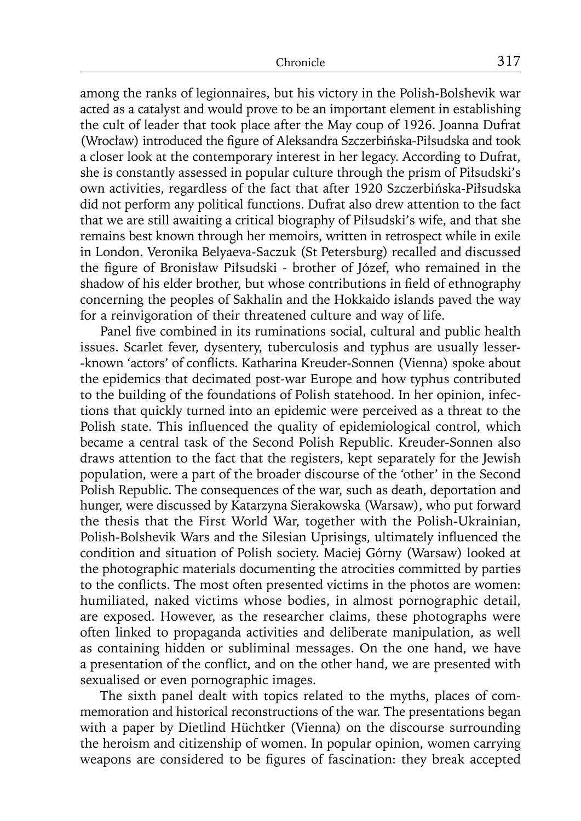among the ranks of legionnaires, but his victory in the Polish-Bolshevik war acted as a catalyst and would prove to be an important element in establishing the cult of leader that took place after the May coup of 1926. Joanna Dufrat (Wrocław) introduced the figure of Aleksandra Szczerbińska-Piłsudska and took a closer look at the contemporary interest in her legacy. According to Dufrat, she is constantly assessed in popular culture through the prism of Piłsudski's own activities, regardless of the fact that after 1920 Szczerbińska-Piłsudska did not perform any political functions. Dufrat also drew attention to the fact that we are still awaiting a critical biography of Piłsudski's wife, and that she remains best known through her memoirs, written in retrospect while in exile in London. Veronika Belyaeva-Saczuk (St Petersburg) recalled and discussed the figure of Bronisław Piłsudski - brother of Józef, who remained in the shadow of his elder brother, but whose contributions in field of ethnography concerning the peoples of Sakhalin and the Hokkaido islands paved the way for a reinvigoration of their threatened culture and way of life.

Panel five combined in its ruminations social, cultural and public health issues. Scarlet fever, dysentery, tuberculosis and typhus are usually lesser- -known 'actors' of conflicts. Katharina Kreuder-Sonnen (Vienna) spoke about the epidemics that decimated post-war Europe and how typhus contributed to the building of the foundations of Polish statehood. In her opinion, infections that quickly turned into an epidemic were perceived as a threat to the Polish state. This influenced the quality of epidemiological control, which became a central task of the Second Polish Republic. Kreuder-Sonnen also draws attention to the fact that the registers, kept separately for the Jewish population, were a part of the broader discourse of the 'other' in the Second Polish Republic. The consequences of the war, such as death, deportation and hunger, were discussed by Katarzyna Sierakowska (Warsaw), who put forward the thesis that the First World War, together with the Polish-Ukrainian, Polish-Bolshevik Wars and the Silesian Uprisings, ultimately influenced the condition and situation of Polish society. Maciej Górny (Warsaw) looked at the photographic materials documenting the atrocities committed by parties to the conflicts. The most often presented victims in the photos are women: humiliated, naked victims whose bodies, in almost pornographic detail, are exposed. However, as the researcher claims, these photographs were often linked to propaganda activities and deliberate manipulation, as well as containing hidden or subliminal messages. On the one hand, we have a presentation of the conflict, and on the other hand, we are presented with sexualised or even pornographic images.

The sixth panel dealt with topics related to the myths, places of commemoration and historical reconstructions of the war. The presentations began with a paper by Dietlind Hüchtker (Vienna) on the discourse surrounding the heroism and citizenship of women. In popular opinion, women carrying weapons are considered to be figures of fascination: they break accepted